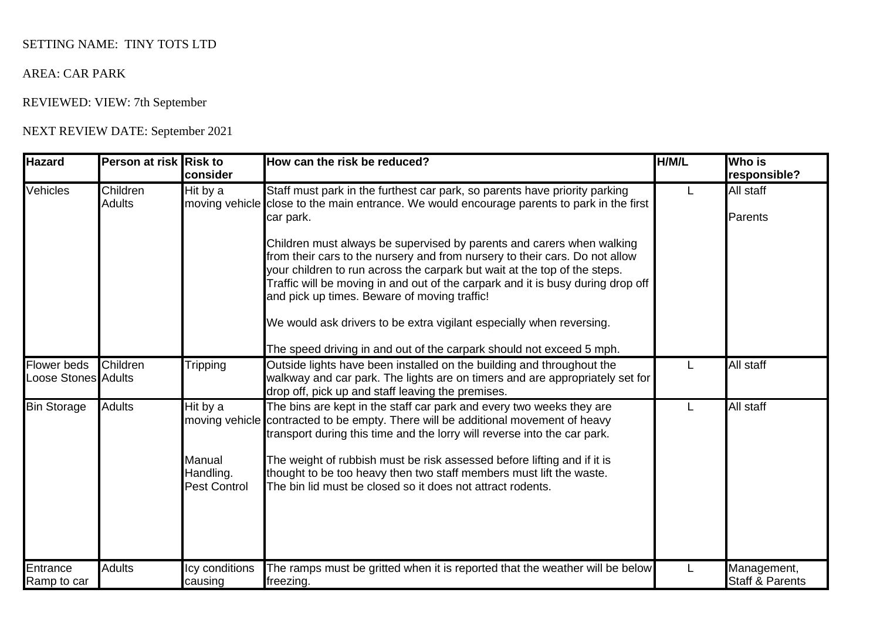## SETTING NAME: TINY TOTS LTD

## AREA: CAR PARK

## REVIEWED: VIEW: 7th September

## NEXT REVIEW DATE: September 2021

| <b>Hazard</b>                                    | Person at risk Risk to    | consider                                               | How can the risk be reduced?                                                                                                                                                                                                                                                                                                                                                                                                                                                                                                                                                                                                          | H/M/L | <b>Who is</b><br>responsible?             |
|--------------------------------------------------|---------------------------|--------------------------------------------------------|---------------------------------------------------------------------------------------------------------------------------------------------------------------------------------------------------------------------------------------------------------------------------------------------------------------------------------------------------------------------------------------------------------------------------------------------------------------------------------------------------------------------------------------------------------------------------------------------------------------------------------------|-------|-------------------------------------------|
| Vehicles                                         | Children<br><b>Adults</b> | Hit by a                                               | Staff must park in the furthest car park, so parents have priority parking<br>moving vehicle close to the main entrance. We would encourage parents to park in the first<br>car park.<br>Children must always be supervised by parents and carers when walking<br>from their cars to the nursery and from nursery to their cars. Do not allow<br>your children to run across the carpark but wait at the top of the steps.<br>Traffic will be moving in and out of the carpark and it is busy during drop off<br>and pick up times. Beware of moving traffic!<br>We would ask drivers to be extra vigilant especially when reversing. | L     | All staff<br>Parents                      |
| <b>Flower</b> beds<br><b>Loose Stones Adults</b> | Children                  | <b>Tripping</b>                                        | The speed driving in and out of the carpark should not exceed 5 mph.<br>Outside lights have been installed on the building and throughout the<br>walkway and car park. The lights are on timers and are appropriately set for<br>drop off, pick up and staff leaving the premises.                                                                                                                                                                                                                                                                                                                                                    |       | All staff                                 |
| <b>Bin Storage</b>                               | <b>Adults</b>             | Hit by a<br>Manual<br>Handling.<br><b>Pest Control</b> | The bins are kept in the staff car park and every two weeks they are<br>moving vehicle contracted to be empty. There will be additional movement of heavy<br>transport during this time and the lorry will reverse into the car park.<br>The weight of rubbish must be risk assessed before lifting and if it is<br>thought to be too heavy then two staff members must lift the waste.<br>The bin lid must be closed so it does not attract rodents.                                                                                                                                                                                 |       | All staff                                 |
| Entrance<br>Ramp to car                          | <b>Adults</b>             | Icy conditions<br>causing                              | The ramps must be gritted when it is reported that the weather will be below<br>freezing.                                                                                                                                                                                                                                                                                                                                                                                                                                                                                                                                             |       | Management,<br><b>Staff &amp; Parents</b> |